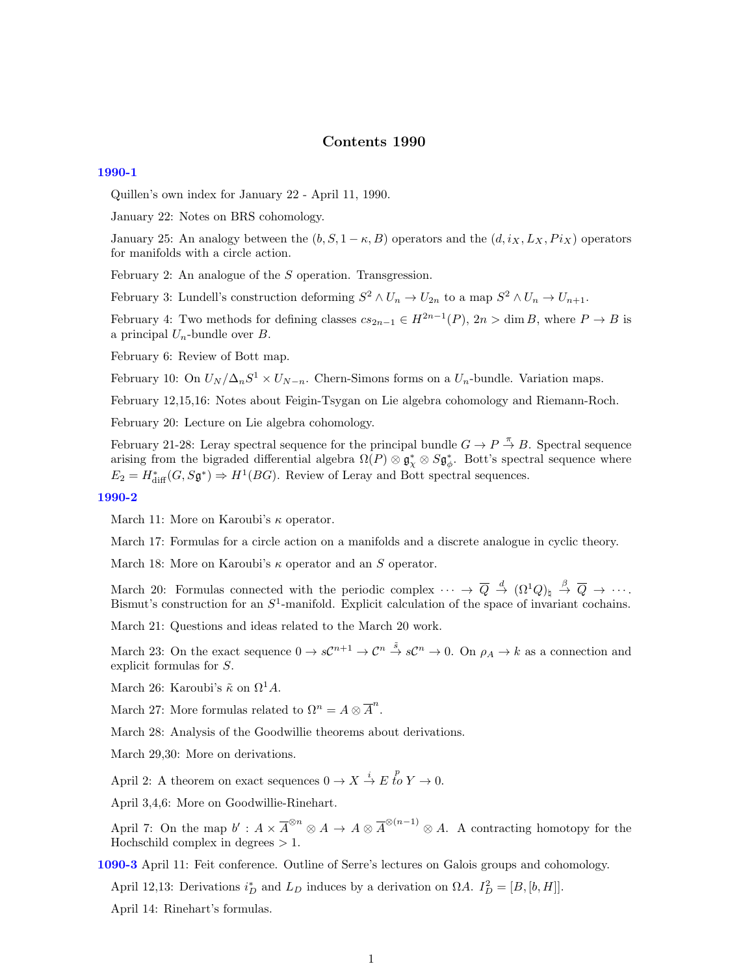# Contents 1990

## [1990-1](http://www2.maths.ox.ac.uk/cmi/library/Quillen/Working_papers/quillen%201990/1990-1.pdf)

Quillen's own index for January 22 - April 11, 1990.

January 22: Notes on BRS cohomology.

January 25: An analogy between the  $(b, S, 1 - \kappa, B)$  operators and the  $(d, i_X, L_X, P i_X)$  operators for manifolds with a circle action.

February 2: An analogue of the S operation. Transgression.

February 3: Lundell's construction deforming  $S^2 \wedge U_n \to U_{2n}$  to a map  $S^2 \wedge U_n \to U_{n+1}$ .

February 4: Two methods for defining classes  $cs_{2n-1} \in H^{2n-1}(P)$ ,  $2n > \dim B$ , where  $P \to B$  is a principal  $U_n$ -bundle over  $B$ .

February 6: Review of Bott map.

February 10: On  $U_N/\Delta_n S^1 \times U_{N-n}$ . Chern-Simons forms on a  $U_n$ -bundle. Variation maps.

February 12,15,16: Notes about Feigin-Tsygan on Lie algebra cohomology and Riemann-Roch.

February 20: Lecture on Lie algebra cohomology.

February 21-28: Leray spectral sequence for the principal bundle  $G \to P \stackrel{\pi}{\to} B$ . Spectral sequence arising from the bigraded differential algebra  $\Omega(P) \otimes \mathfrak{g}_\chi^* \otimes S\mathfrak{g}_\phi^*$ . Bott's spectral sequence where  $E_2 = H_{\text{diff}}^*(G, S\mathfrak{g}^*) \Rightarrow H^1(BG)$ . Review of Leray and Bott spectral sequences.

### [1990-2](http://www2.maths.ox.ac.uk/cmi/library/Quillen/Working_papers/quillen%201990/1990-2.pdf)

March 11: More on Karoubi's  $\kappa$  operator.

March 17: Formulas for a circle action on a manifolds and a discrete analogue in cyclic theory.

March 18: More on Karoubi's  $\kappa$  operator and an S operator.

March 20: Formulas connected with the periodic complex  $\cdots \rightarrow \overline{Q} \stackrel{d}{\rightarrow} (\Omega^1 Q)_{\natural} \stackrel{\beta}{\rightarrow} \overline{Q} \rightarrow \cdots$ . Bismut's construction for an  $S^1$ -manifold. Explicit calculation of the space of invariant cochains.

March 21: Questions and ideas related to the March 20 work.

March 23: On the exact sequence  $0 \to s\mathcal{C}^{n+1} \to \mathcal{C}^n \stackrel{\tilde{s}}{\to} s\mathcal{C}^n \to 0$ . On  $\rho_A \to k$  as a connection and explicit formulas for S.

March 26: Karoubi's  $\tilde{\kappa}$  on  $\Omega^1 A$ .

March 27: More formulas related to  $\Omega^n = A \otimes \overline{A}^n$ .

March 28: Analysis of the Goodwillie theorems about derivations.

March 29,30: More on derivations.

April 2: A theorem on exact sequences  $0 \to X \stackrel{i}{\to} E \stackrel{p}{\to} Y \to 0$ .

April 3,4,6: More on Goodwillie-Rinehart.

April 7: On the map  $b' : A \times \overline{A}^{\otimes n} \otimes A \to A \otimes \overline{A}^{\otimes (n-1)} \otimes A$ . A contracting homotopy for the Hochschild complex in degrees  $> 1$ .

[1090-3](http://www2.maths.ox.ac.uk/cmi/library/Quillen/Working_papers/quillen%201090/1090-3.pdf) April 11: Feit conference. Outline of Serre's lectures on Galois groups and cohomology.

April 12,13: Derivations  $i_D^*$  and  $L_D$  induces by a derivation on  $\Omega A$ .  $I_D^2 = [B, [b, H]]$ .

April 14: Rinehart's formulas.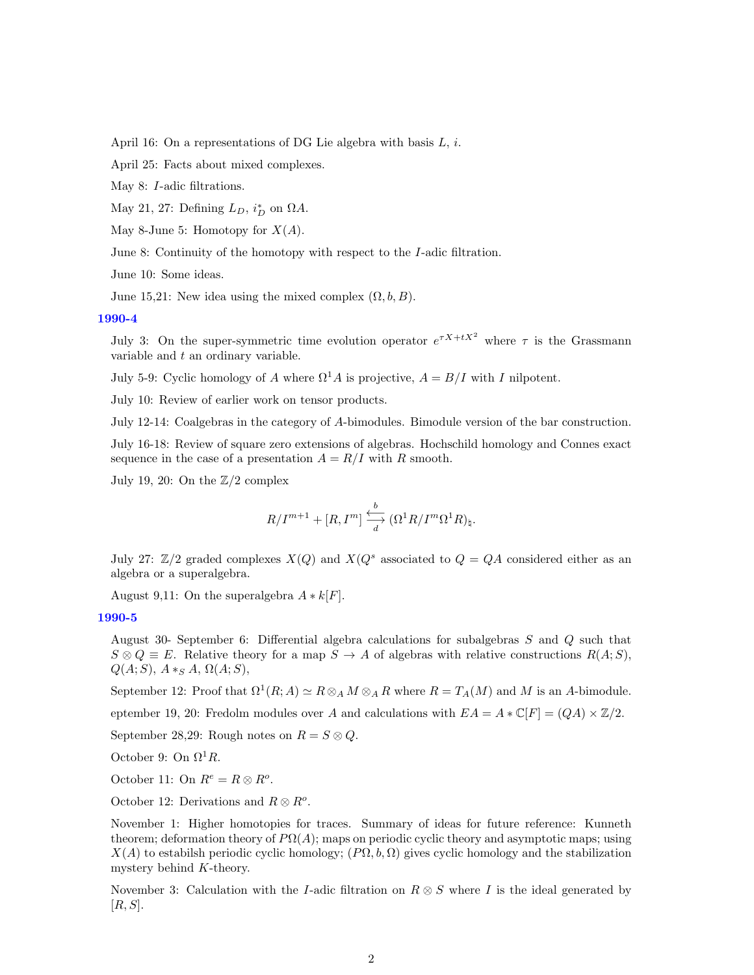April 16: On a representations of DG Lie algebra with basis  $L, i$ .

April 25: Facts about mixed complexes.

May 8: I-adic filtrations.

May 21, 27: Defining  $L_D$ ,  $i_D^*$  on  $\Omega A$ .

May 8-June 5: Homotopy for  $X(A)$ .

June 8: Continuity of the homotopy with respect to the I-adic filtration.

June 10: Some ideas.

June 15,21: New idea using the mixed complex  $(\Omega, b, B)$ .

## [1990-4](http://www2.maths.ox.ac.uk/cmi/library/Quillen/Working_papers/quillen%201990/1990-4.pdf)

July 3: On the super-symmetric time evolution operator  $e^{\tau X + tX^2}$  where  $\tau$  is the Grassmann variable and t an ordinary variable.

July 5-9: Cyclic homology of A where  $\Omega^1 A$  is projective,  $A = B/I$  with I nilpotent.

July 10: Review of earlier work on tensor products.

July 12-14: Coalgebras in the category of A-bimodules. Bimodule version of the bar construction.

July 16-18: Review of square zero extensions of algebras. Hochschild homology and Connes exact sequence in the case of a presentation  $A = R/I$  with R smooth.

July 19, 20: On the  $\mathbb{Z}/2$  complex

$$
R/I^{m+1} + [R, I^{m}] \xrightarrow[d]{b} (\Omega^{1}R/I^{m}\Omega^{1}R)_{\natural}.
$$

July 27:  $\mathbb{Z}/2$  graded complexes  $X(Q)$  and  $X(Q^s)$  associated to  $Q = QA$  considered either as an algebra or a superalgebra.

August 9,11: On the superalgebra  $A * k[F]$ .

### [1990-5](http://www2.maths.ox.ac.uk/cmi/library/Quillen/Working_papers/quillen%201990/1990-5.pdf)

August 30- September 6: Differential algebra calculations for subalgebras S and Q such that  $S \otimes Q \equiv E$ . Relative theory for a map  $S \to A$  of algebras with relative constructions  $R(A;S)$ ,  $Q(A;S)$ ,  $A*_S A$ ,  $\Omega(A;S)$ ,

September 12: Proof that  $\Omega^1(R; A) \simeq R \otimes_A M \otimes_A R$  where  $R = T_A(M)$  and M is an A-bimodule.

eptember 19, 20: Fredolm modules over A and calculations with  $EA = A * \mathbb{C}[F] = (QA) \times \mathbb{Z}/2$ .

September 28,29: Rough notes on  $R = S \otimes Q$ .

October 9: On  $\Omega^1 R$ .

October 11: On  $R^e = R \otimes R^o$ .

October 12: Derivations and  $R \otimes R^o$ .

November 1: Higher homotopies for traces. Summary of ideas for future reference: Kunneth theorem; deformation theory of  $P\Omega(A)$ ; maps on periodic cyclic theory and asymptotic maps; using  $X(A)$  to estabilsh periodic cyclic homology;  $(P\Omega, b, \Omega)$  gives cyclic homology and the stabilization mystery behind K-theory.

November 3: Calculation with the I-adic filtration on  $R \otimes S$  where I is the ideal generated by  $[R, S].$